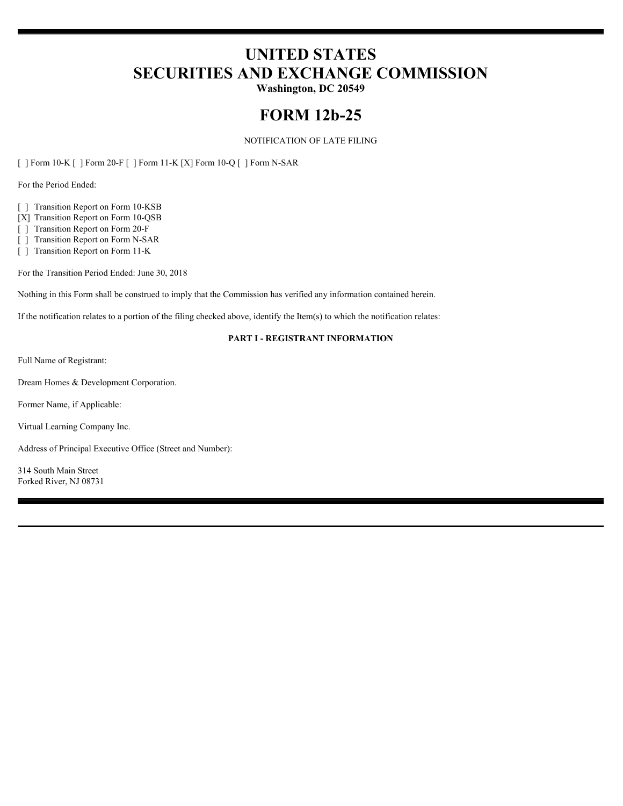# **UNITED STATES SECURITIES AND EXCHANGE COMMISSION**

**Washington, DC 20549**

## **FORM 12b-25**

#### NOTIFICATION OF LATE FILING

[ ] Form 10-K [ ] Form 20-F [ ] Form 11-K [X] Form 10-Q [ ] Form N-SAR

For the Period Ended:

[ ] Transition Report on Form 10-KSB

[X] Transition Report on Form 10-QSB

[ ] Transition Report on Form 20-F

[ ] Transition Report on Form N-SAR

[ ] Transition Report on Form 11-K

For the Transition Period Ended: June 30, 2018

Nothing in this Form shall be construed to imply that the Commission has verified any information contained herein.

If the notification relates to a portion of the filing checked above, identify the Item(s) to which the notification relates:

#### **PART I - REGISTRANT INFORMATION**

Full Name of Registrant:

Dream Homes & Development Corporation.

Former Name, if Applicable:

Virtual Learning Company Inc.

Address of Principal Executive Office (Street and Number):

314 South Main Street Forked River, NJ 08731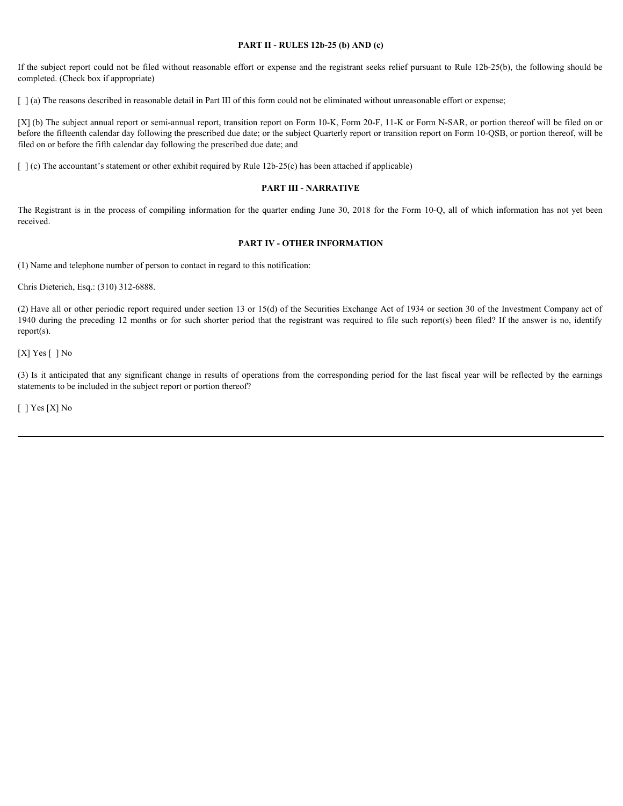#### **PART II - RULES 12b-25 (b) AND (c)**

If the subject report could not be filed without reasonable effort or expense and the registrant seeks relief pursuant to Rule 12b-25(b), the following should be completed. (Check box if appropriate)

[  $\alpha$ ] (a) The reasons described in reasonable detail in Part III of this form could not be eliminated without unreasonable effort or expense;

[X] (b) The subject annual report or semi-annual report, transition report on Form 10-K, Form 20-F, 11-K or Form N-SAR, or portion thereof will be filed on or before the fifteenth calendar day following the prescribed due date; or the subject Quarterly report or transition report on Form 10-QSB, or portion thereof, will be filed on or before the fifth calendar day following the prescribed due date; and **THE REGIST 11-RULES 12b-25 (b) AND (c)**<br> **The subject report could not be filed without reasonable effort or expense and the registrant seeks relief pursuant to Rule 12b-25(b), the following should be<br>
[ ] (a) The reasons** Fits subject report could not be fited without reasonable effort or expense and the registrant secks relative participates of completed (10,000 in example during the completed (11,000). The reason-detected by the results

 $\lceil \cdot \rceil$  (c) The accountant's statement or other exhibit required by Rule 12b-25(c) has been attached if applicable)

#### **PART III - NARRATIVE**

received.

#### **PART IV - OTHER INFORMATION**

(1) Name and telephone number of person to contact in regard to this notification:

Chris Dieterich, Esq.: (310) 312-6888.

(2) Have all or other periodic report required under section 13 or 15(d) of the Securities Exchange Act of 1934 or section 30 of the Investment Company act of 1940 during the preceding 12 months or for such shorter period that the registrant was required to file such report(s) been filed? If the answer is no, identify report(s).

[X] Yes [] No

statements to be included in the subject report or portion thereof?

[ ] Yes [X] No